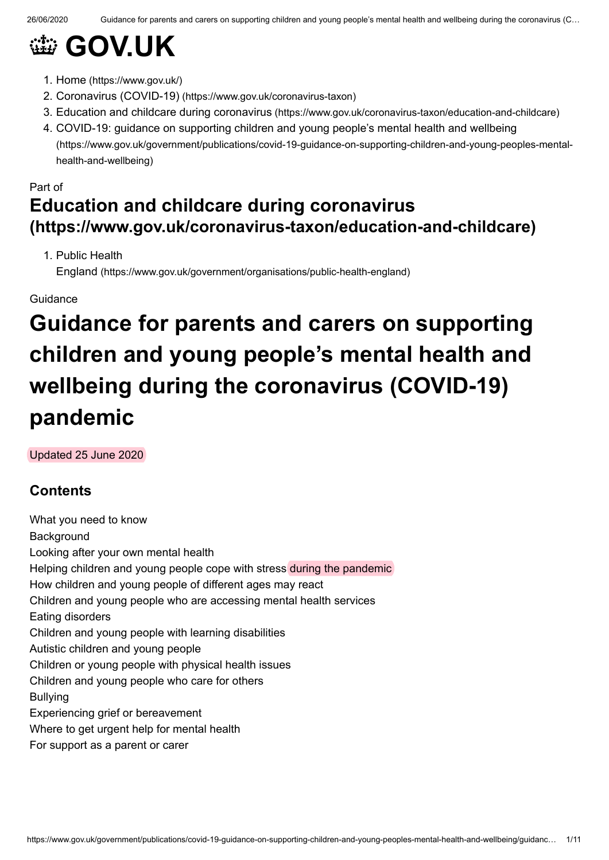# **@ [GOV.UK](https://www.gov.uk/)**

- 1. Home [\(https://www.gov.uk/\)](https://www.gov.uk/)
- 2. Coronavirus (COVID-19) [\(https://www.gov.uk/coronavirus-taxon\)](https://www.gov.uk/coronavirus-taxon)
- 3. Education and childcare during coronavirus [\(https://www.gov.uk/coronavirus-taxon/education-and-childcare\)](https://www.gov.uk/coronavirus-taxon/education-and-childcare)
- 4. COVID-19: guidance on supporting children and young people's mental health and wellbeing [\(https://www.gov.uk/government/publications/covid-19-guidance-on-supporting-children-and-young-peoples-mental](https://www.gov.uk/government/publications/covid-19-guidance-on-supporting-children-and-young-peoples-mental-health-and-wellbeing)health-and-wellbeing)

# Part of **Education and childcare during coronavirus [\(https://www.gov.uk/coronavirus-taxon/education-and-childcare\)](https://www.gov.uk/coronavirus-taxon/education-and-childcare)**

1. Public Health

England [\(https://www.gov.uk/government/organisations/public-health-england\)](https://www.gov.uk/government/organisations/public-health-england)

#### Guidance

# **Guidance for parents and carers on supporting children and young people's mental health and wellbeing during the coronavirus (COVID-19) pandemic**

Updated 25 June 2020

# **Contents**

What you need to know **Background** Looking after your own mental health Helping children and young people cope with stress during the pandemic How children and young people of different ages may react Children and young people who are accessing mental health services Eating disorders Children and young people with learning disabilities Autistic children and young people Children or young people with physical health issues Children and young people who care for others Bullying Experiencing grief or bereavement Where to get urgent help for mental health For support as a parent or carer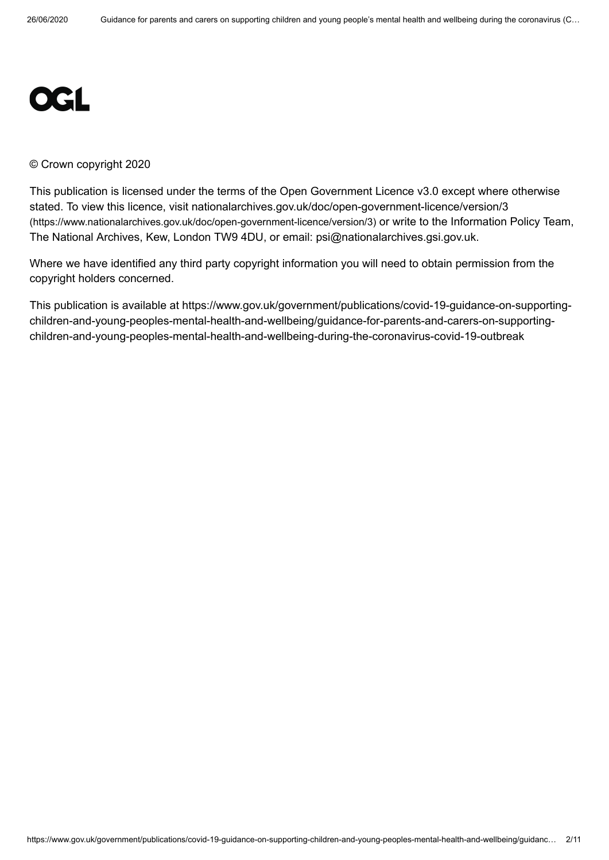

#### © Crown copyright 2020

This publication is licensed under the terms of the Open Government Licence v3.0 except where otherwise stated. To view this licence, visit [nationalarchives.gov.uk/doc/open-government-licence/version/3](https://www.nationalarchives.gov.uk/doc/open-government-licence/version/3) (https://www.nationalarchives.gov.uk/doc/open-government-licence/version/3) or write to the Information Policy Team, The National Archives, Kew, London TW9 4DU, or email: [psi@nationalarchives.gsi.gov.uk.](mailto:psi@nationalarchives.gsi.gov.uk)

Where we have identified any third party copyright information you will need to obtain permission from the copyright holders concerned.

This publication is available at https://www.gov.uk/government/publications/covid-19-guidance-on-supportingchildren-and-young-peoples-mental-health-and-wellbeing/guidance-for-parents-and-carers-on-supportingchildren-and-young-peoples-mental-health-and-wellbeing-during-the-coronavirus-covid-19-outbreak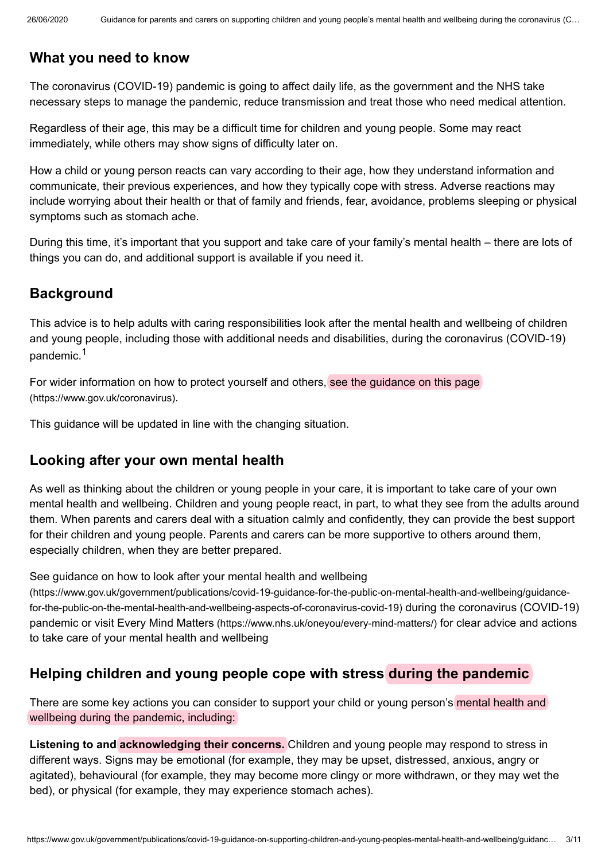## **What you need to know**

The coronavirus (COVID-19) pandemic is going to affect daily life, as the government and the NHS take necessary steps to manage the pandemic, reduce transmission and treat those who need medical attention.

Regardless of their age, this may be a difficult time for children and young people. Some may react immediately, while others may show signs of difficulty later on.

How a child or young person reacts can vary according to their age, how they understand information and communicate, their previous experiences, and how they typically cope with stress. Adverse reactions may include worrying about their health or that of family and friends, fear, avoidance, problems sleeping or physical symptoms such as stomach ache.

During this time, it's important that you support and take care of your family's mental health – there are lots of things you can do, and additional support is available if you need it.

## **Background**

<span id="page-2-0"></span>This advice is to help adults with caring responsibilities look after the mental health and wellbeing of children and young people, including those with additional needs and disabilities, during the coronavirus (COVID-19) pandemic.<sup>[1](#page-9-0)</sup>

For wider information on how to protect yourself and others, see the guidance on this page [\(https://www.gov.uk/coronavirus\)](https://www.gov.uk/coronavirus).

This guidance will be updated in line with the changing situation.

## **Looking after your own mental health**

As well as thinking about the children or young people in your care, it is important to take care of your own mental health and wellbeing. Children and young people react, in part, to what they see from the adults around them. When parents and carers deal with a situation calmly and confidently, they can provide the best support for their children and young people. Parents and carers can be more supportive to others around them, especially children, when they are better prepared.

See guidance on how to look after your mental health and wellbeing

[\(https://www.gov.uk/government/publications/covid-19-guidance-for-the-public-on-mental-health-and-wellbeing/guidance](https://www.gov.uk/government/publications/covid-19-guidance-for-the-public-on-mental-health-and-wellbeing/guidance-for-the-public-on-the-mental-health-and-wellbeing-aspects-of-coronavirus-covid-19)for-the-public-on-the-mental-health-and-wellbeing-aspects-of-coronavirus-covid-19) during the coronavirus (COVID-19) pandemic or visit Every Mind Matters [\(https://www.nhs.uk/oneyou/every-mind-matters/\)](https://www.nhs.uk/oneyou/every-mind-matters/) for clear advice and actions to take care of your mental health and wellbeing

## **Helping children and young people cope with stress during the pandemic**

There are some key actions you can consider to support your child or young person's mental health and wellbeing during the pandemic, including:

**Listening to and acknowledging their concerns.** Children and young people may respond to stress in different ways. Signs may be emotional (for example, they may be upset, distressed, anxious, angry or agitated), behavioural (for example, they may become more clingy or more withdrawn, or they may wet the bed), or physical (for example, they may experience stomach aches).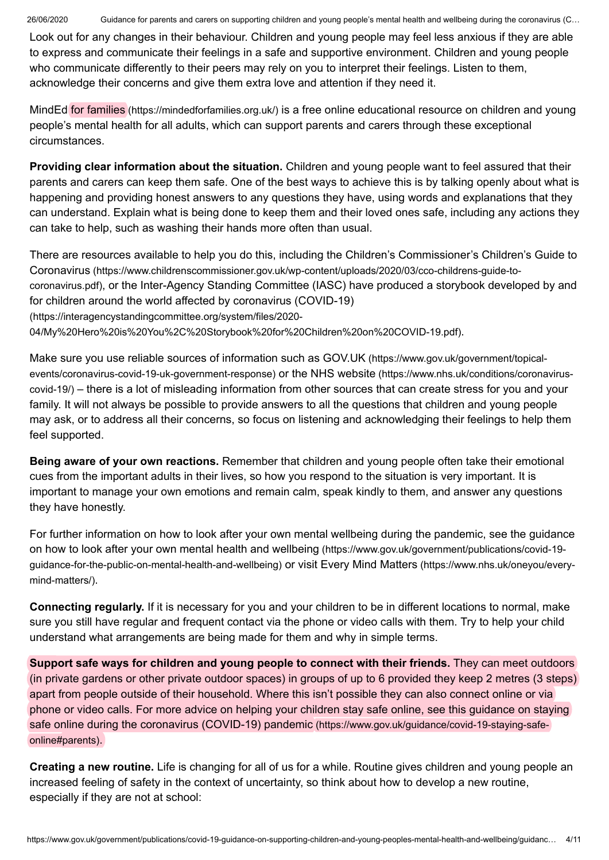26/06/2020 Guidance for parents and carers on supporting children and young people's mental health and wellbeing during the coronavirus (C…

Look out for any changes in their behaviour. Children and young people may feel less anxious if they are able to express and communicate their feelings in a safe and supportive environment. Children and young people who communicate differently to their peers may rely on you to interpret their feelings. Listen to them, acknowledge their concerns and give them extra love and attention if they need it.

MindEd for families [\(https://mindedforfamilies.org.uk/\)](https://mindedforfamilies.org.uk/) is a free online educational resource on children and young people's mental health for all adults, which can support parents and carers through these exceptional circumstances.

**Providing clear information about the situation.** Children and young people want to feel assured that their parents and carers can keep them safe. One of the best ways to achieve this is by talking openly about what is happening and providing honest answers to any questions they have, using words and explanations that they can understand. Explain what is being done to keep them and their loved ones safe, including any actions they can take to help, such as washing their hands more often than usual.

There are resources available to help you do this, including the Children's Commissioner's Children's Guide to Coronavirus [\(https://www.childrenscommissioner.gov.uk/wp-content/uploads/2020/03/cco-childrens-guide-to](https://www.childrenscommissioner.gov.uk/wp-content/uploads/2020/03/cco-childrens-guide-to-coronavirus.pdf)coronavirus.pdf), or the Inter-Agency Standing Committee (IASC) have produced a storybook developed by and for children around the world affected by coronavirus (COVID-19) (https://interagencystandingcommittee.org/system/files/2020- [04/My%20Hero%20is%20You%2C%20Storybook%20for%20Children%20on%20COVID-19.pdf\)](https://interagencystandingcommittee.org/system/files/2020-04/My%20Hero%20is%20You%2C%20Storybook%20for%20Children%20on%20COVID-19.pdf).

Make sure you use reliable sources of information such as GOV.UK (https://www.gov.uk/government/topical[events/coronavirus-covid-19-uk-government-response\)](https://www.gov.uk/government/topical-events/coronavirus-covid-19-uk-government-response) or the NHS website (https://www.nhs.uk/conditions/coronaviruscovid-19/) – there is a lot of misleading information from other sources that can create stress for you and your family. It will not always be possible to provide answers to all the questions that children and young people may ask, or to address all their concerns, so focus on listening and acknowledging their feelings to help them feel supported.

**Being aware of your own reactions.** Remember that children and young people often take their emotional cues from the important adults in their lives, so how you respond to the situation is very important. It is important to manage your own emotions and remain calm, speak kindly to them, and answer any questions they have honestly.

For further information on how to look after your own mental wellbeing during the pandemic, see the guidance on how to look after your own mental health and wellbeing (https://www.gov.uk/government/publications/covid-19 [guidance-for-the-public-on-mental-health-and-wellbeing\)](https://www.gov.uk/government/publications/covid-19-guidance-for-the-public-on-mental-health-and-wellbeing) or visit Every Mind Matters (https://www.nhs.uk/oneyou/everymind-matters/).

**Connecting regularly.** If it is necessary for you and your children to be in different locations to normal, make sure you still have regular and frequent contact via the phone or video calls with them. Try to help your child understand what arrangements are being made for them and why in simple terms.

**Support safe ways for children and young people to connect with their friends.** They can meet outdoors (in private gardens or other private outdoor spaces) in groups of up to 6 provided they keep 2 metres (3 steps) apart from people outside of their household. Where this isn't possible they can also connect online or via phone or video calls. For more advice on helping your children stay safe online, see this guidance on staying safe online during the coronavirus (COVID-19) pandemic [\(https://www.gov.uk/guidance/covid-19-staying-safe](https://www.gov.uk/guidance/covid-19-staying-safe-online#parents)online#parents).

**Creating a new routine.** Life is changing for all of us for a while. Routine gives children and young people an increased feeling of safety in the context of uncertainty, so think about how to develop a new routine, especially if they are not at school: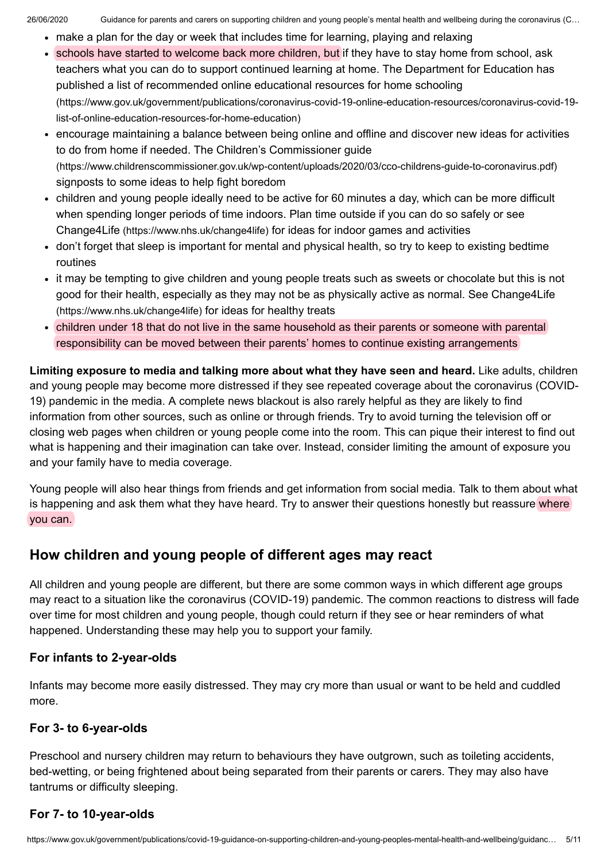- make a plan for the day or week that includes time for learning, playing and relaxing
- schools have started to welcome back more children, but if they have to stay home from school, ask teachers what you can do to support continued learning at home. The Department for Education has published a list of recommended online educational resources for home schooling [\(https://www.gov.uk/government/publications/coronavirus-covid-19-online-education-resources/coronavirus-covid-19](https://www.gov.uk/government/publications/coronavirus-covid-19-online-education-resources/coronavirus-covid-19-list-of-online-education-resources-for-home-education) list-of-online-education-resources-for-home-education)
- encourage maintaining a balance between being online and offline and discover new ideas for activities to do from home if needed. The Children's Commissioner guide [\(https://www.childrenscommissioner.gov.uk/wp-content/uploads/2020/03/cco-childrens-guide-to-coronavirus.pdf\)](https://www.childrenscommissioner.gov.uk/wp-content/uploads/2020/03/cco-childrens-guide-to-coronavirus.pdf) signposts to some ideas to help fight boredom
- children and young people ideally need to be active for 60 minutes a day, which can be more difficult when spending longer periods of time indoors. Plan time outside if you can do so safely or see Change4Life [\(https://www.nhs.uk/change4life\)](https://www.nhs.uk/change4life) for ideas for indoor games and activities
- don't forget that sleep is important for mental and physical health, so try to keep to existing bedtime routines
- it may be tempting to give children and young people treats such as sweets or chocolate but this is not good for their health, especially as they may not be as physically active as normal. See Change4Life [\(https://www.nhs.uk/change4life\)](https://www.nhs.uk/change4life) for ideas for healthy treats
- children under 18 that do not live in the same household as their parents or someone with parental responsibility can be moved between their parents' homes to continue existing arrangements

**Limiting exposure to media and talking more about what they have seen and heard.** Like adults, children and young people may become more distressed if they see repeated coverage about the coronavirus (COVID-19) pandemic in the media. A complete news blackout is also rarely helpful as they are likely to find information from other sources, such as online or through friends. Try to avoid turning the television off or closing web pages when children or young people come into the room. This can pique their interest to find out what is happening and their imagination can take over. Instead, consider limiting the amount of exposure you and your family have to media coverage.

Young people will also hear things from friends and get information from social media. Talk to them about what is happening and ask them what they have heard. Try to answer their questions honestly but reassure where you can.

## **How children and young people of different ages may react**

All children and young people are different, but there are some common ways in which different age groups may react to a situation like the coronavirus (COVID-19) pandemic. The common reactions to distress will fade over time for most children and young people, though could return if they see or hear reminders of what happened. Understanding these may help you to support your family.

#### **For infants to 2-year-olds**

Infants may become more easily distressed. They may cry more than usual or want to be held and cuddled more.

#### **For 3- to 6-year-olds**

Preschool and nursery children may return to behaviours they have outgrown, such as toileting accidents, bed-wetting, or being frightened about being separated from their parents or carers. They may also have tantrums or difficulty sleeping.

#### **For 7- to 10-year-olds**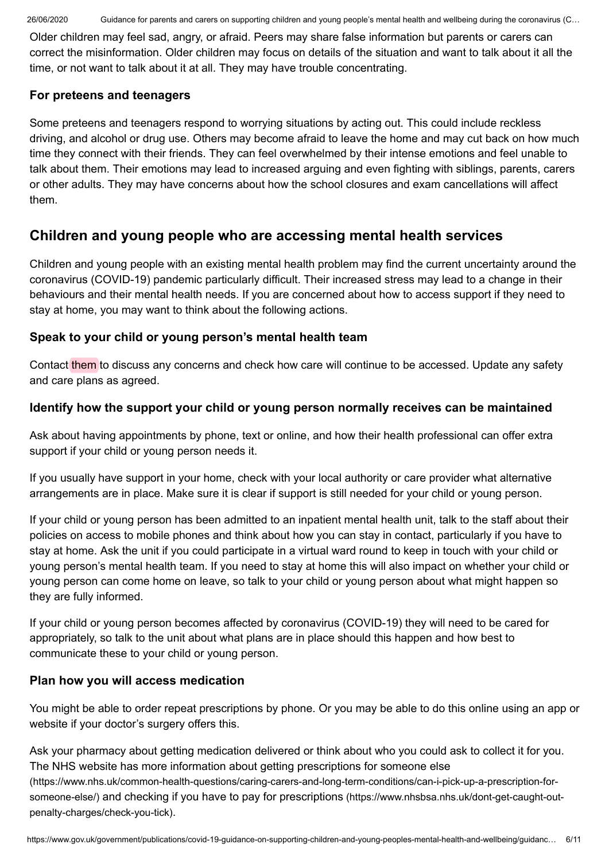26/06/2020 Guidance for parents and carers on supporting children and young people's mental health and wellbeing during the coronavirus (C…

Older children may feel sad, angry, or afraid. Peers may share false information but parents or carers can correct the misinformation. Older children may focus on details of the situation and want to talk about it all the time, or not want to talk about it at all. They may have trouble concentrating.

#### **For preteens and teenagers**

Some preteens and teenagers respond to worrying situations by acting out. This could include reckless driving, and alcohol or drug use. Others may become afraid to leave the home and may cut back on how much time they connect with their friends. They can feel overwhelmed by their intense emotions and feel unable to talk about them. Their emotions may lead to increased arguing and even fighting with siblings, parents, carers or other adults. They may have concerns about how the school closures and exam cancellations will affect them.

# **Children and young people who are accessing mental health services**

Children and young people with an existing mental health problem may find the current uncertainty around the coronavirus (COVID-19) pandemic particularly difficult. Their increased stress may lead to a change in their behaviours and their mental health needs. If you are concerned about how to access support if they need to stay at home, you may want to think about the following actions.

#### **Speak to your child or young person's mental health team**

Contact them to discuss any concerns and check how care will continue to be accessed. Update any safety and care plans as agreed.

### **Identify how the support your child or young person normally receives can be maintained**

Ask about having appointments by phone, text or online, and how their health professional can offer extra support if your child or young person needs it.

If you usually have support in your home, check with your local authority or care provider what alternative arrangements are in place. Make sure it is clear if support is still needed for your child or young person.

If your child or young person has been admitted to an inpatient mental health unit, talk to the staff about their policies on access to mobile phones and think about how you can stay in contact, particularly if you have to stay at home. Ask the unit if you could participate in a virtual ward round to keep in touch with your child or young person's mental health team. If you need to stay at home this will also impact on whether your child or young person can come home on leave, so talk to your child or young person about what might happen so they are fully informed.

If your child or young person becomes affected by coronavirus (COVID-19) they will need to be cared for appropriately, so talk to the unit about what plans are in place should this happen and how best to communicate these to your child or young person.

#### **Plan how you will access medication**

You might be able to order repeat prescriptions by phone. Or you may be able to do this online using an app or website if your doctor's surgery offers this.

Ask your pharmacy about getting medication delivered or think about who you could ask to collect it for you. The NHS website has more information about getting prescriptions for someone else [\(https://www.nhs.uk/common-health-questions/caring-carers-and-long-term-conditions/can-i-pick-up-a-prescription-for-](https://www.nhs.uk/common-health-questions/caring-carers-and-long-term-conditions/can-i-pick-up-a-prescription-for-someone-else/)

someone-else/) and checking if you have to pay for prescriptions [\(https://www.nhsbsa.nhs.uk/dont-get-caught-out](https://www.nhsbsa.nhs.uk/dont-get-caught-out-penalty-charges/check-you-tick)penalty-charges/check-you-tick).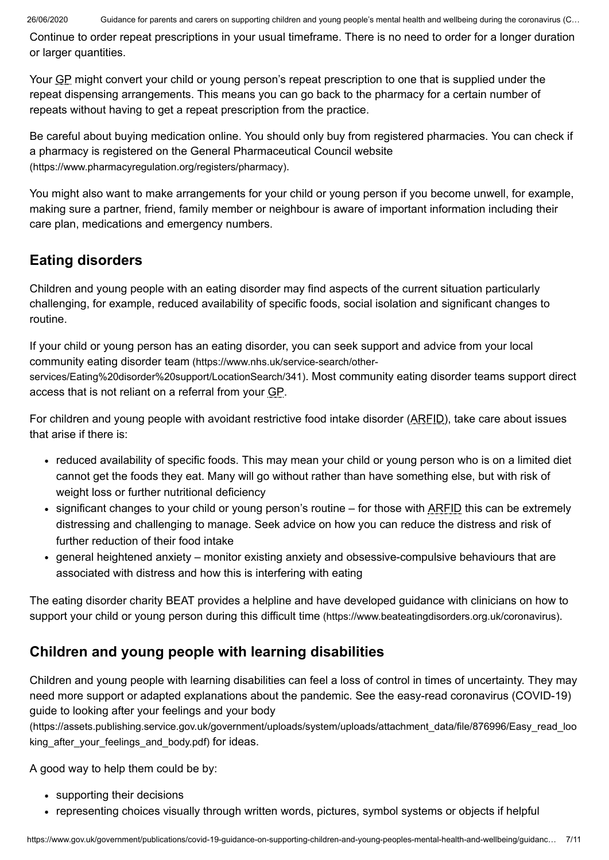Continue to order repeat prescriptions in your usual timeframe. There is no need to order for a longer duration or larger quantities.

Your GP might convert your child or young person's repeat prescription to one that is supplied under the repeat dispensing arrangements. This means you can go back to the pharmacy for a certain number of repeats without having to get a repeat prescription from the practice.

Be careful about buying medication online. You should only buy from registered pharmacies. You can check if a pharmacy is registered on the General Pharmaceutical Council website [\(https://www.pharmacyregulation.org/registers/pharmacy\)](https://www.pharmacyregulation.org/registers/pharmacy).

You might also want to make arrangements for your child or young person if you become unwell, for example, making sure a partner, friend, family member or neighbour is aware of important information including their care plan, medications and emergency numbers.

## **Eating disorders**

Children and young people with an eating disorder may find aspects of the current situation particularly challenging, for example, reduced availability of specific foods, social isolation and significant changes to routine.

If your child or young person has an eating disorder, you can seek support and advice from your local community eating disorder team (https://www.nhs.uk/service-search/other[services/Eating%20disorder%20support/LocationSearch/341\)](https://www.nhs.uk/service-search/other-services/Eating%20disorder%20support/LocationSearch/341). Most community eating disorder teams support direct access that is not reliant on a referral from your GP.

For children and young people with avoidant restrictive food intake disorder (ARFID), take care about issues that arise if there is:

- reduced availability of specific foods. This may mean your child or young person who is on a limited diet cannot get the foods they eat. Many will go without rather than have something else, but with risk of weight loss or further nutritional deficiency
- significant changes to your child or young person's routine for those with ARFID this can be extremely distressing and challenging to manage. Seek advice on how you can reduce the distress and risk of further reduction of their food intake
- general heightened anxiety monitor existing anxiety and obsessive-compulsive behaviours that are associated with distress and how this is interfering with eating

The eating disorder charity BEAT provides a helpline and have developed guidance with clinicians on how to support your child or young person during this difficult time [\(https://www.beateatingdisorders.org.uk/coronavirus\)](https://www.beateatingdisorders.org.uk/coronavirus).

# **Children and young people with learning disabilities**

Children and young people with learning disabilities can feel a loss of control in times of uncertainty. They may need more support or adapted explanations about the pandemic. See the easy-read coronavirus (COVID-19) guide to looking after your feelings and your body

[\(https://assets.publishing.service.gov.uk/government/uploads/system/uploads/attachment\\_data/file/876996/Easy\\_read\\_loo](https://assets.publishing.service.gov.uk/government/uploads/system/uploads/attachment_data/file/876996/Easy_read_looking_after_your_feelings_and_body.pdf) king after your feelings and body.pdf) for ideas.

A good way to help them could be by:

- supporting their decisions
- representing choices visually through written words, pictures, symbol systems or objects if helpful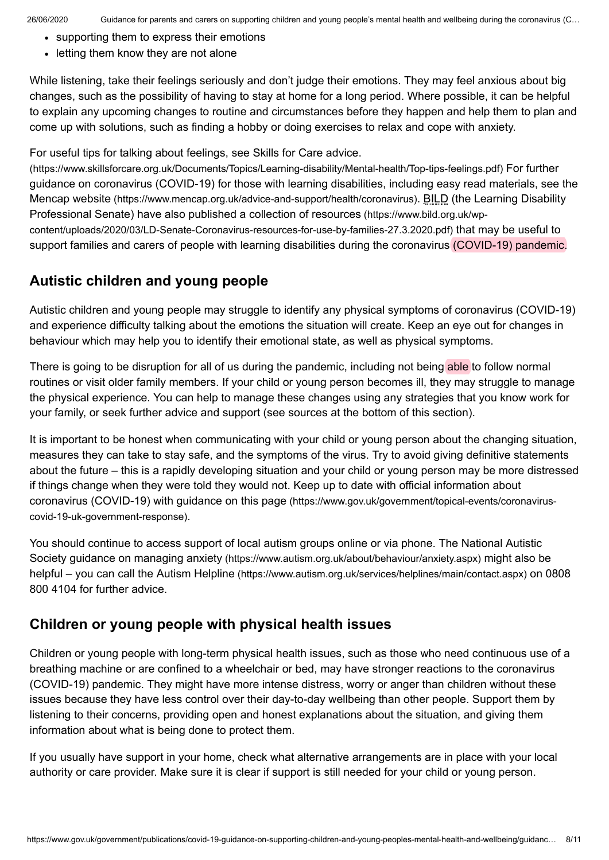- supporting them to express their emotions
- letting them know they are not alone

While listening, take their feelings seriously and don't judge their emotions. They may feel anxious about big changes, such as the possibility of having to stay at home for a long period. Where possible, it can be helpful to explain any upcoming changes to routine and circumstances before they happen and help them to plan and come up with solutions, such as finding a hobby or doing exercises to relax and cope with anxiety.

For useful tips for talking about feelings, see Skills for Care advice.

[\(https://www.skillsforcare.org.uk/Documents/Topics/Learning-disability/Mental-health/Top-tips-feelings.pdf\)](https://www.skillsforcare.org.uk/Documents/Topics/Learning-disability/Mental-health/Top-tips-feelings.pdf) For further guidance on coronavirus (COVID-19) for those with learning disabilities, including easy read materials, see the Mencap website [\(https://www.mencap.org.uk/advice-and-support/health/coronavirus\)](https://www.mencap.org.uk/advice-and-support/health/coronavirus). BILD (the Learning Disability Professional Senate) have also published a collection of resources (https://www.bild.org.uk/wp[content/uploads/2020/03/LD-Senate-Coronavirus-resources-for-use-by-families-27.3.2020.pdf\)](https://www.bild.org.uk/wp-content/uploads/2020/03/LD-Senate-Coronavirus-resources-for-use-by-families-27.3.2020.pdf) that may be useful to support families and carers of people with learning disabilities during the coronavirus (COVID-19) pandemic.

## **Autistic children and young people**

Autistic children and young people may struggle to identify any physical symptoms of coronavirus (COVID-19) and experience difficulty talking about the emotions the situation will create. Keep an eye out for changes in behaviour which may help you to identify their emotional state, as well as physical symptoms.

There is going to be disruption for all of us during the pandemic, including not being able to follow normal routines or visit older family members. If your child or young person becomes ill, they may struggle to manage the physical experience. You can help to manage these changes using any strategies that you know work for your family, or seek further advice and support (see sources at the bottom of this section).

It is important to be honest when communicating with your child or young person about the changing situation, measures they can take to stay safe, and the symptoms of the virus. Try to avoid giving definitive statements about the future – this is a rapidly developing situation and your child or young person may be more distressed if things change when they were told they would not. Keep up to date with official information about coronavirus (COVID-19) with guidance on this page [\(https://www.gov.uk/government/topical-events/coronavirus](https://www.gov.uk/government/topical-events/coronavirus-covid-19-uk-government-response)covid-19-uk-government-response).

You should continue to access support of local autism groups online or via phone. The National Autistic Society guidance on managing anxiety [\(https://www.autism.org.uk/about/behaviour/anxiety.aspx\)](https://www.autism.org.uk/about/behaviour/anxiety.aspx) might also be helpful – you can call the Autism Helpline [\(https://www.autism.org.uk/services/helplines/main/contact.aspx\)](https://www.autism.org.uk/services/helplines/main/contact.aspx) on 0808 800 4104 for further advice.

## **Children or young people with physical health issues**

Children or young people with long-term physical health issues, such as those who need continuous use of a breathing machine or are confined to a wheelchair or bed, may have stronger reactions to the coronavirus (COVID-19) pandemic. They might have more intense distress, worry or anger than children without these issues because they have less control over their day-to-day wellbeing than other people. Support them by listening to their concerns, providing open and honest explanations about the situation, and giving them information about what is being done to protect them.

If you usually have support in your home, check what alternative arrangements are in place with your local authority or care provider. Make sure it is clear if support is still needed for your child or young person.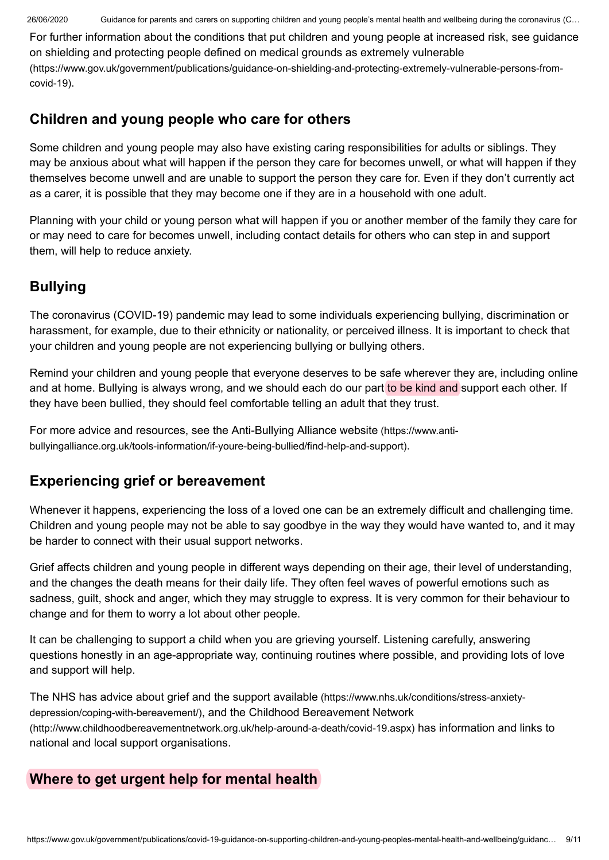26/06/2020 Guidance for parents and carers on supporting children and young people's mental health and wellbeing during the coronavirus (C…

For further information about the conditions that put children and young people at increased risk, see guidance on shielding and protecting people defined on medical grounds as extremely vulnerable [\(https://www.gov.uk/government/publications/guidance-on-shielding-and-protecting-extremely-vulnerable-persons-from](https://www.gov.uk/government/publications/guidance-on-shielding-and-protecting-extremely-vulnerable-persons-from-covid-19)covid-19).

## **Children and young people who care for others**

Some children and young people may also have existing caring responsibilities for adults or siblings. They may be anxious about what will happen if the person they care for becomes unwell, or what will happen if they themselves become unwell and are unable to support the person they care for. Even if they don't currently act as a carer, it is possible that they may become one if they are in a household with one adult.

Planning with your child or young person what will happen if you or another member of the family they care for or may need to care for becomes unwell, including contact details for others who can step in and support them, will help to reduce anxiety.

# **Bullying**

The coronavirus (COVID-19) pandemic may lead to some individuals experiencing bullying, discrimination or harassment, for example, due to their ethnicity or nationality, or perceived illness. It is important to check that your children and young people are not experiencing bullying or bullying others.

Remind your children and young people that everyone deserves to be safe wherever they are, including online and at home. Bullying is always wrong, and we should each do our part to be kind and support each other. If they have been bullied, they should feel comfortable telling an adult that they trust.

For more advice and resources, see the Anti-Bullying Alliance website (https://www.anti[bullyingalliance.org.uk/tools-information/if-youre-being-bullied/find-help-and-support\)](https://www.anti-bullyingalliance.org.uk/tools-information/if-youre-being-bullied/find-help-and-support).

# **Experiencing grief or bereavement**

Whenever it happens, experiencing the loss of a loved one can be an extremely difficult and challenging time. Children and young people may not be able to say goodbye in the way they would have wanted to, and it may be harder to connect with their usual support networks.

Grief affects children and young people in different ways depending on their age, their level of understanding, and the changes the death means for their daily life. They often feel waves of powerful emotions such as sadness, guilt, shock and anger, which they may struggle to express. It is very common for their behaviour to change and for them to worry a lot about other people.

It can be challenging to support a child when you are grieving yourself. Listening carefully, answering questions honestly in an age-appropriate way, continuing routines where possible, and providing lots of love and support will help.

The NHS has advice about grief and the support available [\(https://www.nhs.uk/conditions/stress-anxiety](https://www.nhs.uk/conditions/stress-anxiety-depression/coping-with-bereavement/)depression/coping-with-bereavement/), and the Childhood Bereavement Network [\(http://www.childhoodbereavementnetwork.org.uk/help-around-a-death/covid-19.aspx\)](http://www.childhoodbereavementnetwork.org.uk/help-around-a-death/covid-19.aspx) has information and links to national and local support organisations.

## **Where to get urgent help for mental health**